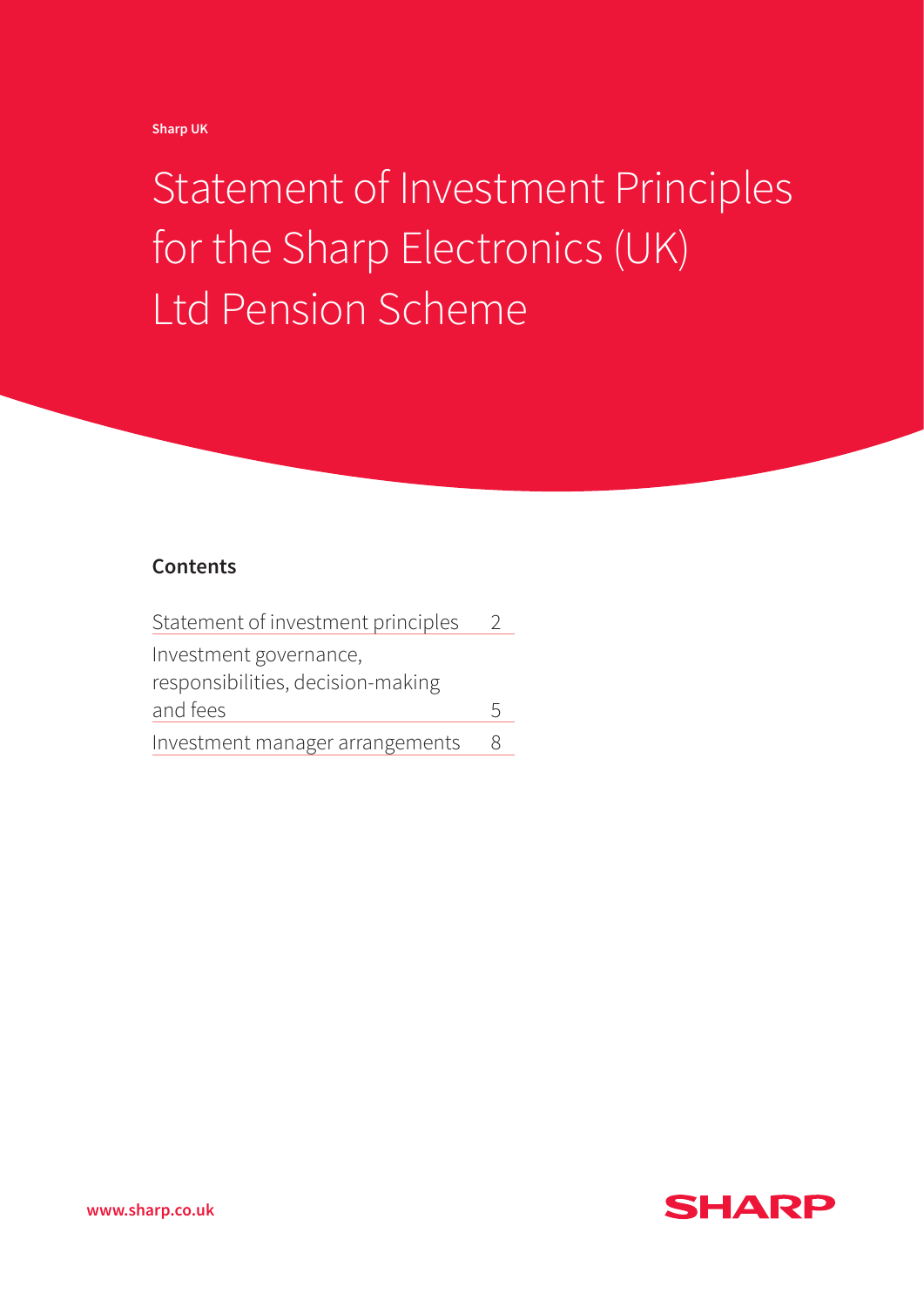**Sharp UK** 

# Statement of Investment Principles for the Sharp Electronics (UK) Ltd Pension Scheme

## **Contents**

| Statement of investment principles |   |  |
|------------------------------------|---|--|
| Investment governance,             |   |  |
| responsibilities, decision-making  |   |  |
| and fees                           | 5 |  |
| Investment manager arrangements    | 8 |  |



**www.sharp.co.uk**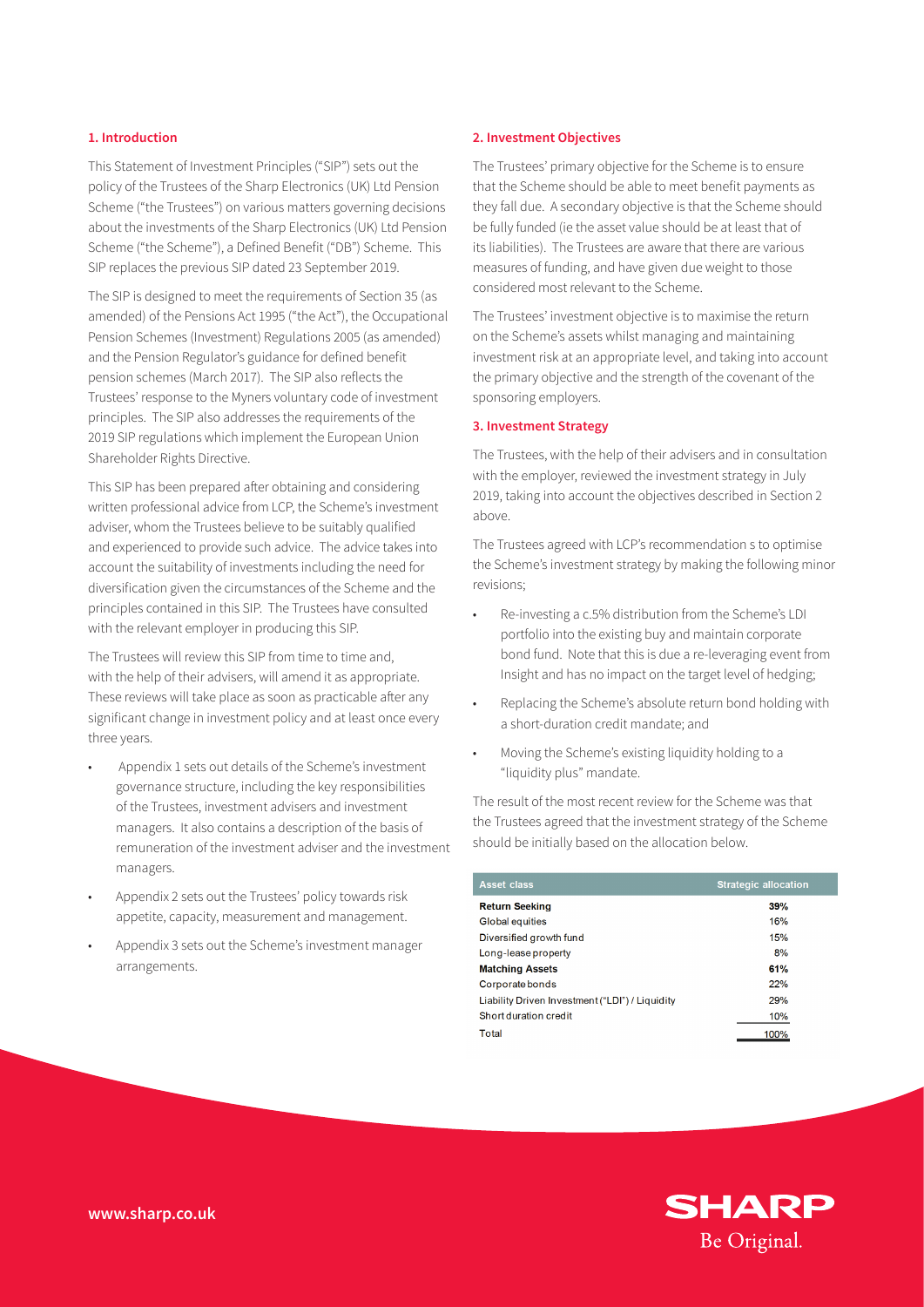#### **1. Introduction**

This Statement of Investment Principles ("SIP") sets out the policy of the Trustees of the Sharp Electronics (UK) Ltd Pension Scheme ("the Trustees") on various matters governing decisions about the investments of the Sharp Electronics (UK) Ltd Pension Scheme ("the Scheme"), a Defined Benefit ("DB") Scheme. This SIP replaces the previous SIP dated 23 September 2019.

The SIP is designed to meet the requirements of Section 35 (as amended) of the Pensions Act 1995 ("the Act"), the Occupational Pension Schemes (Investment) Regulations 2005 (as amended) and the Pension Regulator's guidance for defined benefit pension schemes (March 2017). The SIP also reflects the Trustees' response to the Myners voluntary code of investment principles. The SIP also addresses the requirements of the 2019 SIP regulations which implement the European Union Shareholder Rights Directive.

This SIP has been prepared after obtaining and considering written professional advice from LCP, the Scheme's investment adviser, whom the Trustees believe to be suitably qualified and experienced to provide such advice. The advice takes into account the suitability of investments including the need for diversification given the circumstances of the Scheme and the principles contained in this SIP. The Trustees have consulted with the relevant employer in producing this SIP.

The Trustees will review this SIP from time to time and, with the help of their advisers, will amend it as appropriate. These reviews will take place as soon as practicable after any significant change in investment policy and at least once every three years.

- Appendix 1 sets out details of the Scheme's investment governance structure, including the key responsibilities of the Trustees, investment advisers and investment managers. It also contains a description of the basis of remuneration of the investment adviser and the investment managers.
- Appendix 2 sets out the Trustees' policy towards risk appetite, capacity, measurement and management.
- Appendix 3 sets out the Scheme's investment manager arrangements.

#### **2. Investment Objectives**

The Trustees' primary objective for the Scheme is to ensure that the Scheme should be able to meet benefit payments as they fall due. A secondary objective is that the Scheme should be fully funded (ie the asset value should be at least that of its liabilities). The Trustees are aware that there are various measures of funding, and have given due weight to those considered most relevant to the Scheme.

The Trustees' investment objective is to maximise the return on the Scheme's assets whilst managing and maintaining investment risk at an appropriate level, and taking into account the primary objective and the strength of the covenant of the sponsoring employers.

#### **3. Investment Strategy**

The Trustees, with the help of their advisers and in consultation with the employer, reviewed the investment strategy in July 2019, taking into account the objectives described in Section 2 above.

The Trustees agreed with LCP's recommendation s to optimise the Scheme's investment strategy by making the following minor revisions;

- Re-investing a c.5% distribution from the Scheme's LDI portfolio into the existing buy and maintain corporate bond fund. Note that this is due a re-leveraging event from Insight and has no impact on the target level of hedging;
- Replacing the Scheme's absolute return bond holding with a short-duration credit mandate; and
- Moving the Scheme's existing liquidity holding to a "liquidity plus" mandate.

The result of the most recent review for the Scheme was that the Trustees agreed that the investment strategy of the Scheme should be initially based on the allocation below.

| <b>Asset class</b>                              | <b>Strategic allocation</b> |
|-------------------------------------------------|-----------------------------|
| <b>Return Seeking</b>                           | 39%                         |
| Global equities                                 | 16%                         |
| Diversified growth fund                         | 15%                         |
| Long-lease property                             | 8%                          |
| <b>Matching Assets</b>                          | 61%                         |
| Corporate bonds                                 | 22%                         |
| Liability Driven Investment ("LDI") / Liquidity | 29%                         |
| Short duration credit                           | 10%                         |
| Total                                           | 100%                        |

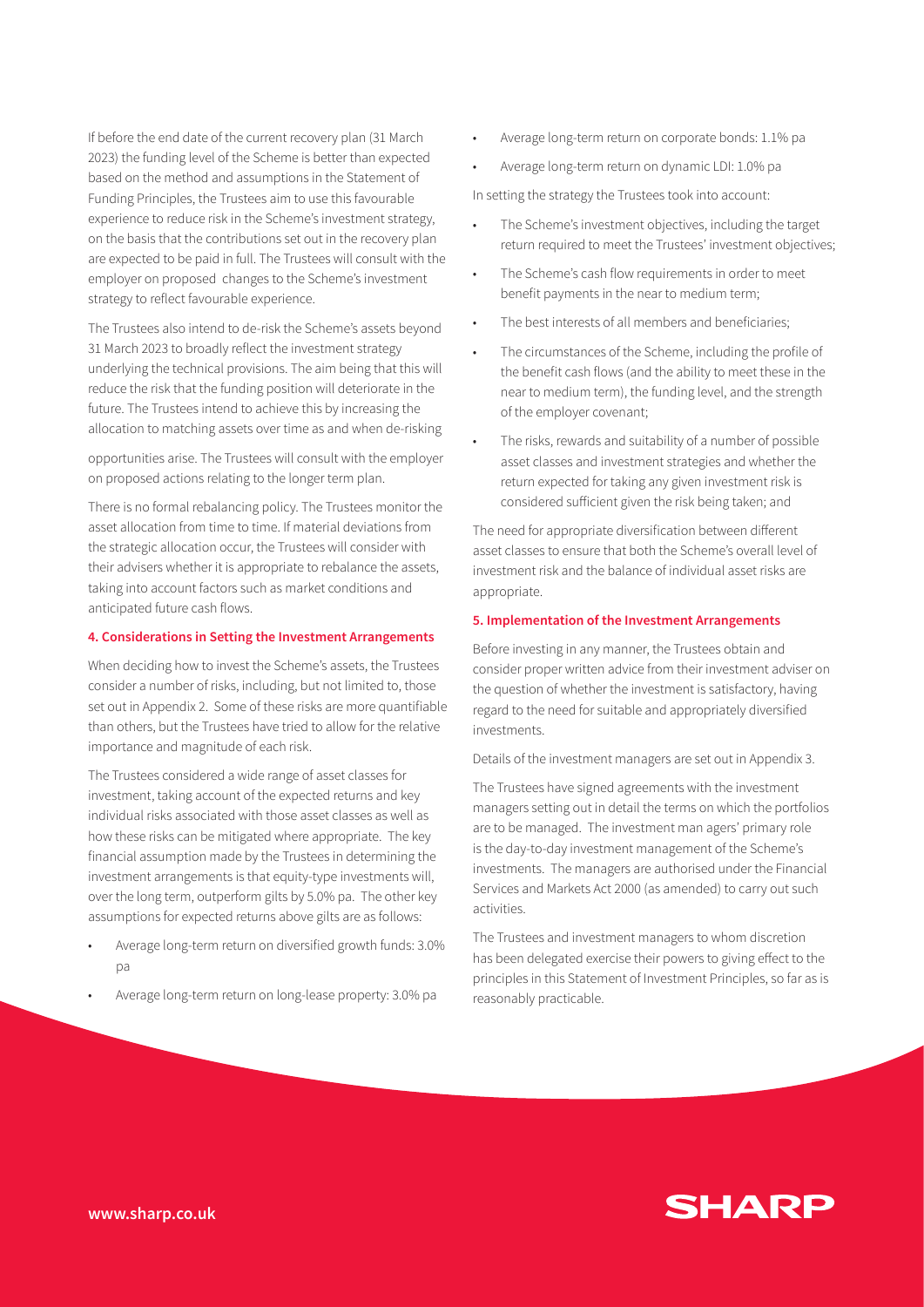If before the end date of the current recovery plan (31 March 2023) the funding level of the Scheme is better than expected based on the method and assumptions in the Statement of Funding Principles, the Trustees aim to use this favourable experience to reduce risk in the Scheme's investment strategy, on the basis that the contributions set out in the recovery plan are expected to be paid in full. The Trustees will consult with the employer on proposed changes to the Scheme's investment strategy to reflect favourable experience.

The Trustees also intend to de-risk the Scheme's assets beyond 31 March 2023 to broadly reflect the investment strategy underlying the technical provisions. The aim being that this will reduce the risk that the funding position will deteriorate in the future. The Trustees intend to achieve this by increasing the allocation to matching assets over time as and when de-risking

opportunities arise. The Trustees will consult with the employer on proposed actions relating to the longer term plan.

There is no formal rebalancing policy. The Trustees monitor the asset allocation from time to time. If material deviations from the strategic allocation occur, the Trustees will consider with their advisers whether it is appropriate to rebalance the assets, taking into account factors such as market conditions and anticipated future cash flows.

## **4. Considerations in Setting the Investment Arrangements**

When deciding how to invest the Scheme's assets, the Trustees consider a number of risks, including, but not limited to, those set out in Appendix 2. Some of these risks are more quantifiable than others, but the Trustees have tried to allow for the relative importance and magnitude of each risk.

The Trustees considered a wide range of asset classes for investment, taking account of the expected returns and key individual risks associated with those asset classes as well as how these risks can be mitigated where appropriate. The key financial assumption made by the Trustees in determining the investment arrangements is that equity-type investments will, over the long term, outperform gilts by 5.0% pa. The other key assumptions for expected returns above gilts are as follows:

- Average long-term return on diversified growth funds: 3.0% pa
- Average long-term return on long-lease property: 3.0% pa
- Average long-term return on corporate bonds: 1.1% pa
- Average long-term return on dynamic LDI: 1.0% pa

In setting the strategy the Trustees took into account:

- The Scheme's investment objectives, including the target return required to meet the Trustees' investment objectives;
- The Scheme's cash flow requirements in order to meet benefit payments in the near to medium term;
- The best interests of all members and beneficiaries:
- The circumstances of the Scheme, including the profile of the benefit cash flows (and the ability to meet these in the near to medium term), the funding level, and the strength of the employer covenant;
- The risks, rewards and suitability of a number of possible asset classes and investment strategies and whether the return expected for taking any given investment risk is considered sufficient given the risk being taken; and

The need for appropriate diversification between different asset classes to ensure that both the Scheme's overall level of investment risk and the balance of individual asset risks are appropriate.

## **5. Implementation of the Investment Arrangements**

Before investing in any manner, the Trustees obtain and consider proper written advice from their investment adviser on the question of whether the investment is satisfactory, having regard to the need for suitable and appropriately diversified investments.

Details of the investment managers are set out in Appendix 3.

The Trustees have signed agreements with the investment managers setting out in detail the terms on which the portfolios are to be managed. The investment man agers' primary role is the day-to-day investment management of the Scheme's investments. The managers are authorised under the Financial Services and Markets Act 2000 (as amended) to carry out such activities.

The Trustees and investment managers to whom discretion has been delegated exercise their powers to giving effect to the principles in this Statement of Investment Principles, so far as is reasonably practicable.

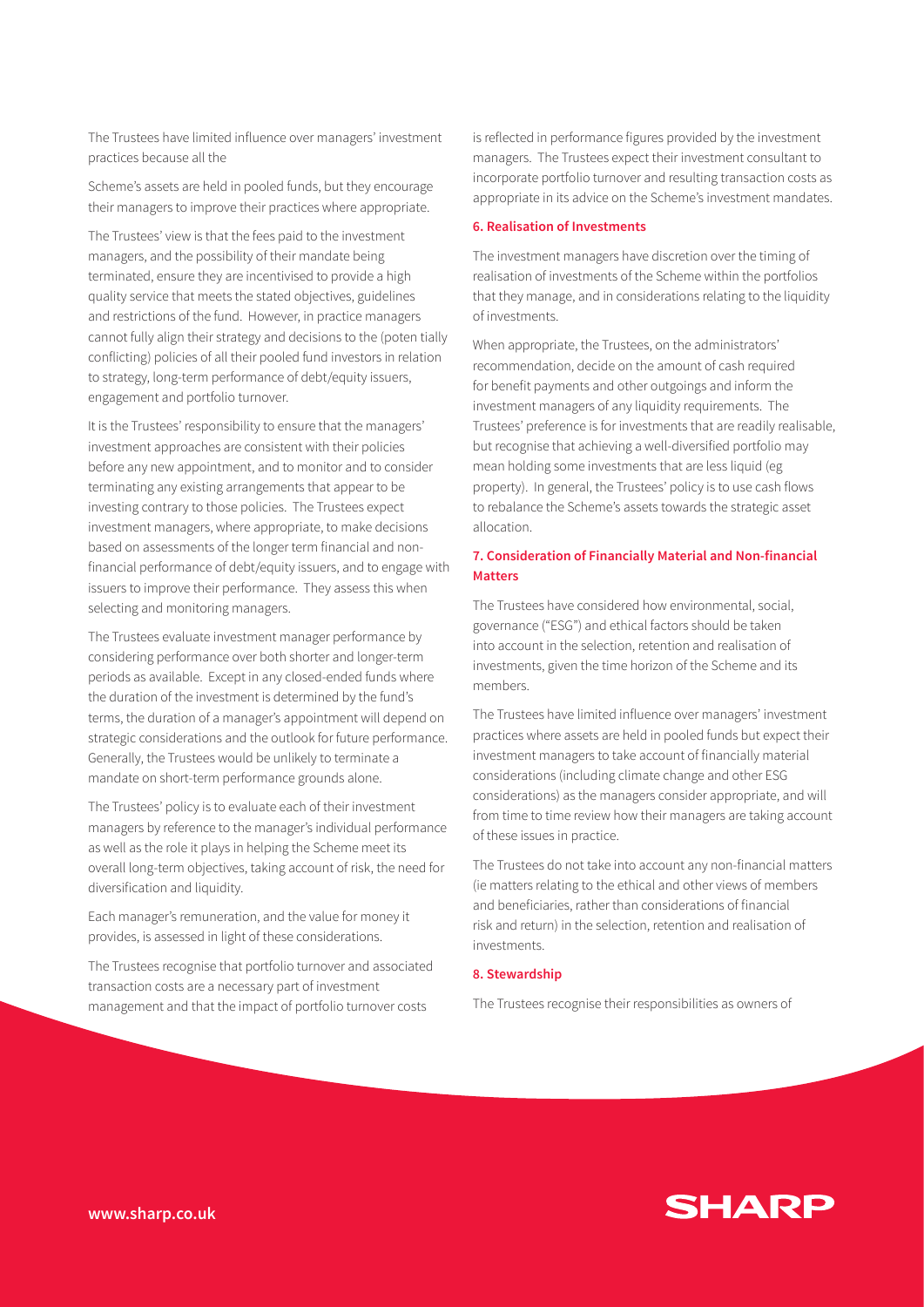The Trustees have limited influence over managers' investment practices because all the

Scheme's assets are held in pooled funds, but they encourage their managers to improve their practices where appropriate.

The Trustees' view is that the fees paid to the investment managers, and the possibility of their mandate being terminated, ensure they are incentivised to provide a high quality service that meets the stated objectives, guidelines and restrictions of the fund. However, in practice managers cannot fully align their strategy and decisions to the (poten tially conflicting) policies of all their pooled fund investors in relation to strategy, long-term performance of debt/equity issuers, engagement and portfolio turnover.

It is the Trustees' responsibility to ensure that the managers' investment approaches are consistent with their policies before any new appointment, and to monitor and to consider terminating any existing arrangements that appear to be investing contrary to those policies. The Trustees expect investment managers, where appropriate, to make decisions based on assessments of the longer term financial and nonfinancial performance of debt/equity issuers, and to engage with issuers to improve their performance. They assess this when selecting and monitoring managers.

The Trustees evaluate investment manager performance by considering performance over both shorter and longer-term periods as available. Except in any closed-ended funds where the duration of the investment is determined by the fund's terms, the duration of a manager's appointment will depend on strategic considerations and the outlook for future performance. Generally, the Trustees would be unlikely to terminate a mandate on short-term performance grounds alone.

The Trustees' policy is to evaluate each of their investment managers by reference to the manager's individual performance as well as the role it plays in helping the Scheme meet its overall long-term objectives, taking account of risk, the need for diversification and liquidity.

Each manager's remuneration, and the value for money it provides, is assessed in light of these considerations.

The Trustees recognise that portfolio turnover and associated transaction costs are a necessary part of investment management and that the impact of portfolio turnover costs

is reflected in performance figures provided by the investment managers. The Trustees expect their investment consultant to incorporate portfolio turnover and resulting transaction costs as appropriate in its advice on the Scheme's investment mandates.

#### **6. Realisation of Investments**

The investment managers have discretion over the timing of realisation of investments of the Scheme within the portfolios that they manage, and in considerations relating to the liquidity of investments.

When appropriate, the Trustees, on the administrators' recommendation, decide on the amount of cash required for benefit payments and other outgoings and inform the investment managers of any liquidity requirements. The Trustees' preference is for investments that are readily realisable, but recognise that achieving a well-diversified portfolio may mean holding some investments that are less liquid (eg property). In general, the Trustees' policy is to use cash flows to rebalance the Scheme's assets towards the strategic asset allocation.

## **7. Consideration of Financially Material and Non-financial Matters**

The Trustees have considered how environmental, social, governance ("ESG") and ethical factors should be taken into account in the selection, retention and realisation of investments, given the time horizon of the Scheme and its members.

The Trustees have limited influence over managers' investment practices where assets are held in pooled funds but expect their investment managers to take account of financially material considerations (including climate change and other ESG considerations) as the managers consider appropriate, and will from time to time review how their managers are taking account of these issues in practice.

The Trustees do not take into account any non-financial matters (ie matters relating to the ethical and other views of members and beneficiaries, rather than considerations of financial risk and return) in the selection, retention and realisation of investments.

#### **8. Stewardship**

The Trustees recognise their responsibilities as owners of

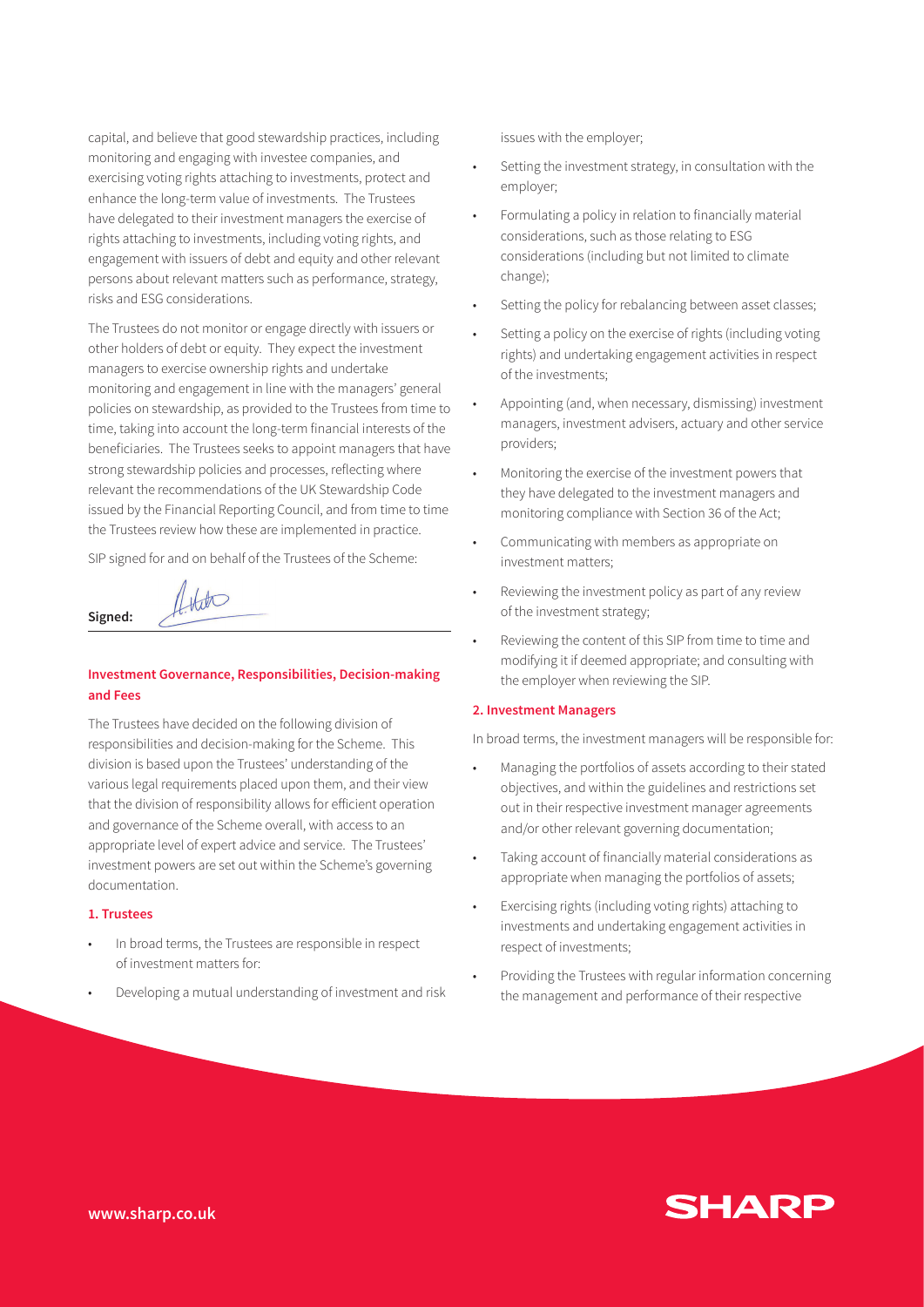capital, and believe that good stewardship practices, including monitoring and engaging with investee companies, and exercising voting rights attaching to investments, protect and enhance the long-term value of investments. The Trustees have delegated to their investment managers the exercise of rights attaching to investments, including voting rights, and engagement with issuers of debt and equity and other relevant persons about relevant matters such as performance, strategy, risks and ESG considerations.

The Trustees do not monitor or engage directly with issuers or other holders of debt or equity. They expect the investment managers to exercise ownership rights and undertake monitoring and engagement in line with the managers' general policies on stewardship, as provided to the Trustees from time to time, taking into account the long-term financial interests of the beneficiaries. The Trustees seeks to appoint managers that have strong stewardship policies and processes, reflecting where relevant the recommendations of the UK Stewardship Code issued by the Financial Reporting Council, and from time to time the Trustees review how these are implemented in practice.

SIP signed for and on behalf of the Trustees of the Scheme:

 $H_{\text{H}}$ 

## **Investment Governance, Responsibilities, Decision-making and Fees**

The Trustees have decided on the following division of responsibilities and decision-making for the Scheme. This division is based upon the Trustees' understanding of the various legal requirements placed upon them, and their view that the division of responsibility allows for efficient operation and governance of the Scheme overall, with access to an appropriate level of expert advice and service. The Trustees' investment powers are set out within the Scheme's governing documentation.

#### **1. Trustees**

**Signed:** 

- In broad terms, the Trustees are responsible in respect of investment matters for:
- Developing a mutual understanding of investment and risk

issues with the employer;

- Setting the investment strategy, in consultation with the employer;
- Formulating a policy in relation to financially material considerations, such as those relating to ESG considerations (including but not limited to climate change);
- Setting the policy for rebalancing between asset classes;
- Setting a policy on the exercise of rights (including voting rights) and undertaking engagement activities in respect of the investments;
- Appointing (and, when necessary, dismissing) investment managers, investment advisers, actuary and other service providers;
- Monitoring the exercise of the investment powers that they have delegated to the investment managers and monitoring compliance with Section 36 of the Act;
- Communicating with members as appropriate on investment matters;
- Reviewing the investment policy as part of any review of the investment strategy;
- Reviewing the content of this SIP from time to time and modifying it if deemed appropriate; and consulting with the employer when reviewing the SIP.

#### **2. Investment Managers**

In broad terms, the investment managers will be responsible for:

- Managing the portfolios of assets according to their stated objectives, and within the guidelines and restrictions set out in their respective investment manager agreements and/or other relevant governing documentation;
- Taking account of financially material considerations as appropriate when managing the portfolios of assets;
- Exercising rights (including voting rights) attaching to investments and undertaking engagement activities in respect of investments;
- Providing the Trustees with regular information concerning the management and performance of their respective

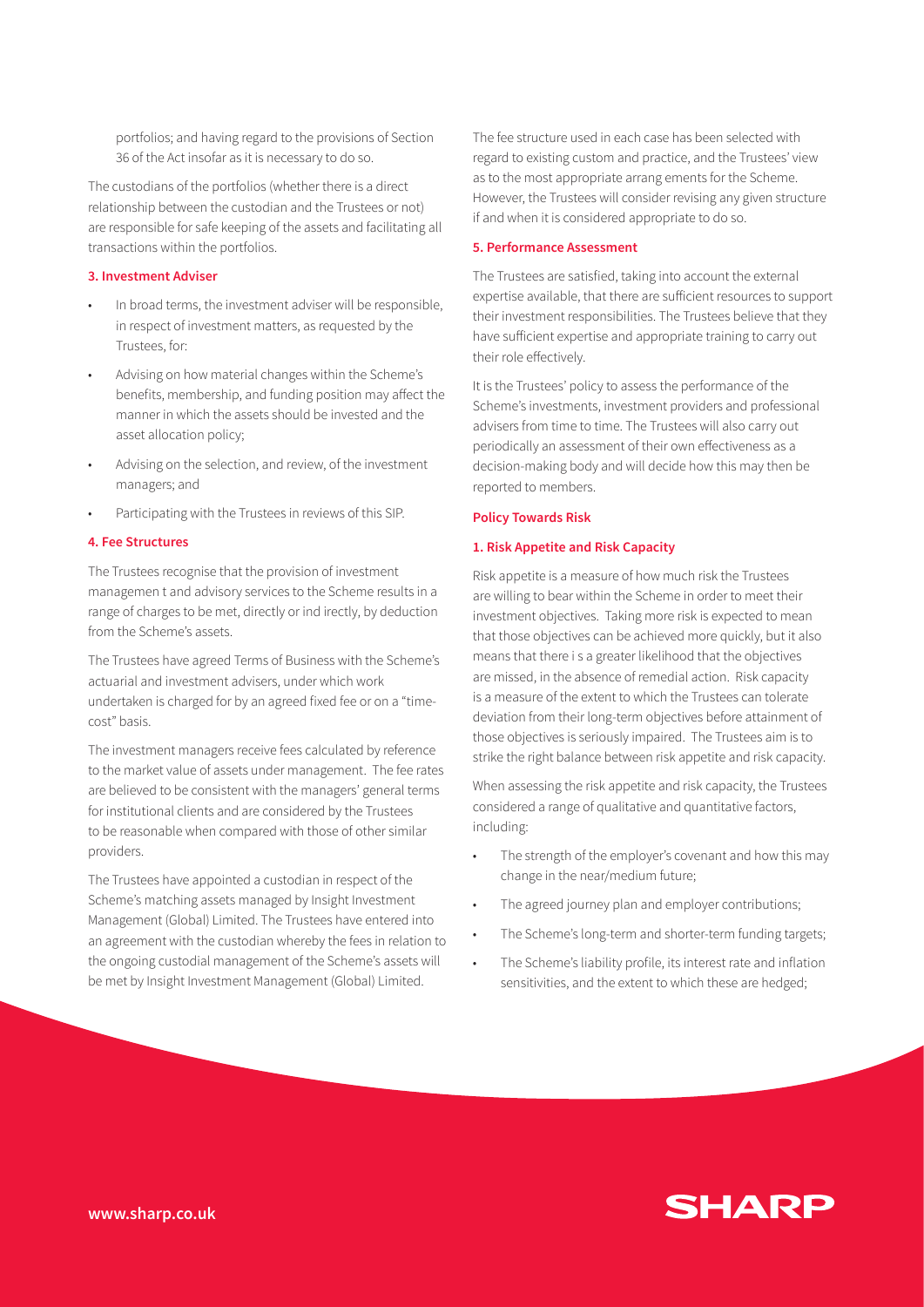portfolios; and having regard to the provisions of Section 36 of the Act insofar as it is necessary to do so.

The custodians of the portfolios (whether there is a direct relationship between the custodian and the Trustees or not) are responsible for safe keeping of the assets and facilitating all transactions within the portfolios.

#### **3. Investment Adviser**

- In broad terms, the investment adviser will be responsible, in respect of investment matters, as requested by the Trustees, for:
- Advising on how material changes within the Scheme's benefits, membership, and funding position may affect the manner in which the assets should be invested and the asset allocation policy;
- Advising on the selection, and review, of the investment managers; and
- Participating with the Trustees in reviews of this SIP.

#### **4. Fee Structures**

The Trustees recognise that the provision of investment managemen t and advisory services to the Scheme results in a range of charges to be met, directly or ind irectly, by deduction from the Scheme's assets.

The Trustees have agreed Terms of Business with the Scheme's actuarial and investment advisers, under which work undertaken is charged for by an agreed fixed fee or on a "timecost" basis.

The investment managers receive fees calculated by reference to the market value of assets under management. The fee rates are believed to be consistent with the managers' general terms for institutional clients and are considered by the Trustees to be reasonable when compared with those of other similar providers.

The Trustees have appointed a custodian in respect of the Scheme's matching assets managed by Insight Investment Management (Global) Limited. The Trustees have entered into an agreement with the custodian whereby the fees in relation to the ongoing custodial management of the Scheme's assets will be met by Insight Investment Management (Global) Limited.

The fee structure used in each case has been selected with regard to existing custom and practice, and the Trustees' view as to the most appropriate arrang ements for the Scheme. However, the Trustees will consider revising any given structure if and when it is considered appropriate to do so.

#### **5. Performance Assessment**

The Trustees are satisfied, taking into account the external expertise available, that there are sufficient resources to support their investment responsibilities. The Trustees believe that they have sufficient expertise and appropriate training to carry out their role effectively.

It is the Trustees' policy to assess the performance of the Scheme's investments, investment providers and professional advisers from time to time. The Trustees will also carry out periodically an assessment of their own effectiveness as a decision-making body and will decide how this may then be reported to members.

#### **Policy Towards Risk**

#### **1. Risk Appetite and Risk Capacity**

Risk appetite is a measure of how much risk the Trustees are willing to bear within the Scheme in order to meet their investment objectives. Taking more risk is expected to mean that those objectives can be achieved more quickly, but it also means that there i s a greater likelihood that the objectives are missed, in the absence of remedial action. Risk capacity is a measure of the extent to which the Trustees can tolerate deviation from their long-term objectives before attainment of those objectives is seriously impaired. The Trustees aim is to strike the right balance between risk appetite and risk capacity.

When assessing the risk appetite and risk capacity, the Trustees considered a range of qualitative and quantitative factors, including:

- The strength of the employer's covenant and how this may change in the near/medium future;
- The agreed journey plan and employer contributions;
- The Scheme's long-term and shorter-term funding targets;
- The Scheme's liability profile, its interest rate and inflation sensitivities, and the extent to which these are hedged;

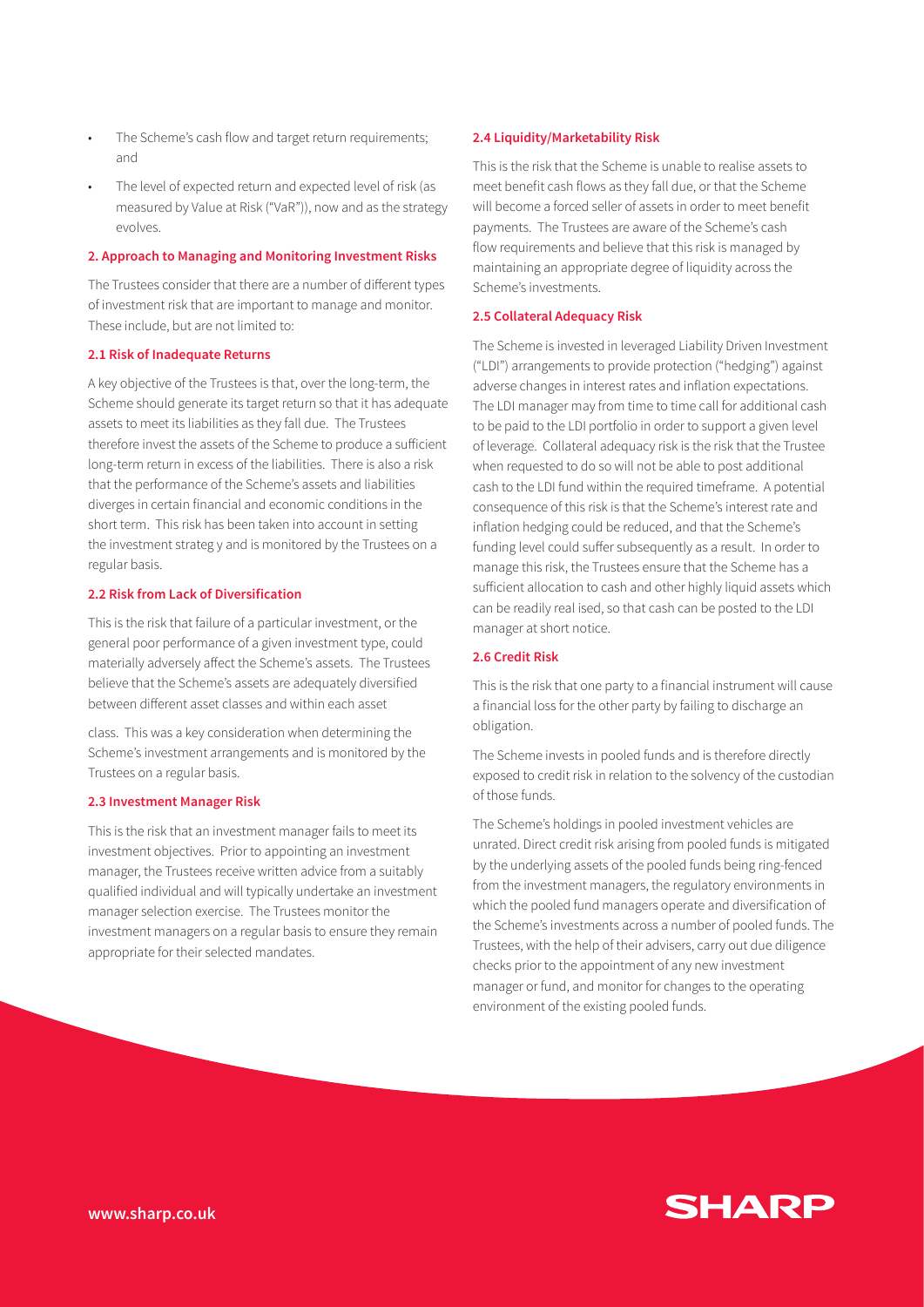- The Scheme's cash flow and target return requirements; and
- The level of expected return and expected level of risk (as measured by Value at Risk ("VaR")), now and as the strategy evolves.

#### **2. Approach to Managing and Monitoring Investment Risks**

The Trustees consider that there are a number of different types of investment risk that are important to manage and monitor. These include, but are not limited to:

#### **2.1 Risk of Inadequate Returns**

A key objective of the Trustees is that, over the long-term, the Scheme should generate its target return so that it has adequate assets to meet its liabilities as they fall due. The Trustees therefore invest the assets of the Scheme to produce a sufficient long-term return in excess of the liabilities. There is also a risk that the performance of the Scheme's assets and liabilities diverges in certain financial and economic conditions in the short term. This risk has been taken into account in setting the investment strateg y and is monitored by the Trustees on a regular basis.

#### **2.2 Risk from Lack of Diversification**

This is the risk that failure of a particular investment, or the general poor performance of a given investment type, could materially adversely affect the Scheme's assets. The Trustees believe that the Scheme's assets are adequately diversified between different asset classes and within each asset

class. This was a key consideration when determining the Scheme's investment arrangements and is monitored by the Trustees on a regular basis.

#### **2.3 Investment Manager Risk**

This is the risk that an investment manager fails to meet its investment objectives. Prior to appointing an investment manager, the Trustees receive written advice from a suitably qualified individual and will typically undertake an investment manager selection exercise. The Trustees monitor the investment managers on a regular basis to ensure they remain appropriate for their selected mandates.

#### **2.4 Liquidity/Marketability Risk**

This is the risk that the Scheme is unable to realise assets to meet benefit cash flows as they fall due, or that the Scheme will become a forced seller of assets in order to meet benefit payments. The Trustees are aware of the Scheme's cash flow requirements and believe that this risk is managed by maintaining an appropriate degree of liquidity across the Scheme's investments.

#### **2.5 Collateral Adequacy Risk**

The Scheme is invested in leveraged Liability Driven Investment ("LDI") arrangements to provide protection ("hedging") against adverse changes in interest rates and inflation expectations. The LDI manager may from time to time call for additional cash to be paid to the LDI portfolio in order to support a given level of leverage. Collateral adequacy risk is the risk that the Trustee when requested to do so will not be able to post additional cash to the LDI fund within the required timeframe. A potential consequence of this risk is that the Scheme's interest rate and inflation hedging could be reduced, and that the Scheme's funding level could suffer subsequently as a result. In order to manage this risk, the Trustees ensure that the Scheme has a sufficient allocation to cash and other highly liquid assets which can be readily real ised, so that cash can be posted to the LDI manager at short notice.

#### **2.6 Credit Risk**

This is the risk that one party to a financial instrument will cause a financial loss for the other party by failing to discharge an obligation.

The Scheme invests in pooled funds and is therefore directly exposed to credit risk in relation to the solvency of the custodian of those funds.

The Scheme's holdings in pooled investment vehicles are unrated. Direct credit risk arising from pooled funds is mitigated by the underlying assets of the pooled funds being ring-fenced from the investment managers, the regulatory environments in which the pooled fund managers operate and diversification of the Scheme's investments across a number of pooled funds. The Trustees, with the help of their advisers, carry out due diligence checks prior to the appointment of any new investment manager or fund, and monitor for changes to the operating environment of the existing pooled funds.

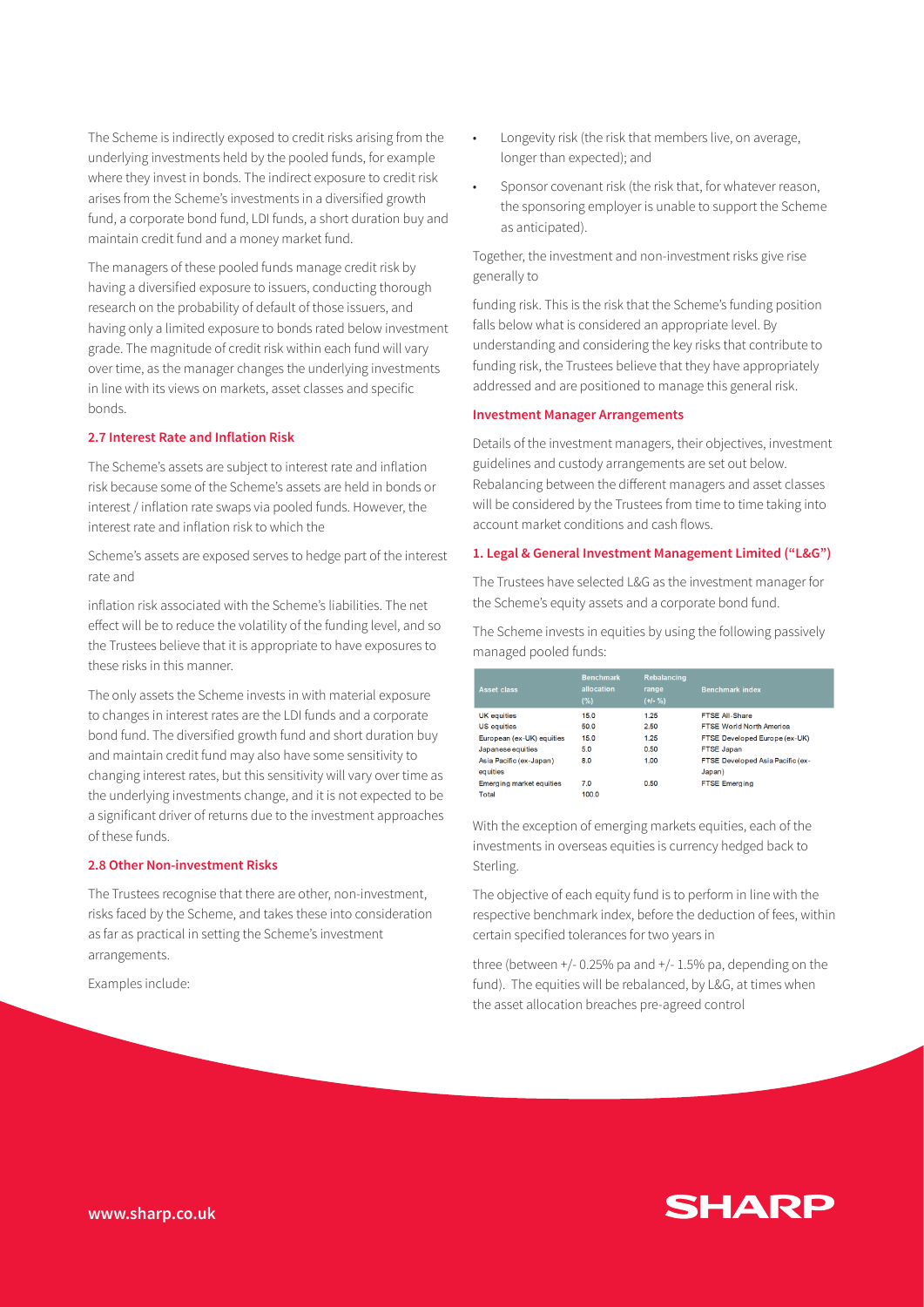The Scheme is indirectly exposed to credit risks arising from the underlying investments held by the pooled funds, for example where they invest in bonds. The indirect exposure to credit risk arises from the Scheme's investments in a diversified growth fund, a corporate bond fund, LDI funds, a short duration buy and maintain credit fund and a money market fund.

The managers of these pooled funds manage credit risk by having a diversified exposure to issuers, conducting thorough research on the probability of default of those issuers, and having only a limited exposure to bonds rated below investment grade. The magnitude of credit risk within each fund will vary over time, as the manager changes the underlying investments in line with its views on markets, asset classes and specific bonds.

## **2.7 Interest Rate and Inflation Risk**

The Scheme's assets are subject to interest rate and inflation risk because some of the Scheme's assets are held in bonds or interest / inflation rate swaps via pooled funds. However, the interest rate and inflation risk to which the

Scheme's assets are exposed serves to hedge part of the interest rate and

inflation risk associated with the Scheme's liabilities. The net effect will be to reduce the volatility of the funding level, and so the Trustees believe that it is appropriate to have exposures to these risks in this manner.

The only assets the Scheme invests in with material exposure to changes in interest rates are the LDI funds and a corporate bond fund. The diversified growth fund and short duration buy and maintain credit fund may also have some sensitivity to changing interest rates, but this sensitivity will vary over time as the underlying investments change, and it is not expected to be a significant driver of returns due to the investment approaches of these funds.

#### **2.8 Other Non-investment Risks**

The Trustees recognise that there are other, non-investment, risks faced by the Scheme, and takes these into consideration as far as practical in setting the Scheme's investment arrangements.

Examples include:

- Longevity risk (the risk that members live, on average, longer than expected); and
- Sponsor covenant risk (the risk that, for whatever reason, the sponsoring employer is unable to support the Scheme as anticipated).

Together, the investment and non-investment risks give rise generally to

funding risk. This is the risk that the Scheme's funding position falls below what is considered an appropriate level. By understanding and considering the key risks that contribute to funding risk, the Trustees believe that they have appropriately addressed and are positioned to manage this general risk.

## **Investment Manager Arrangements**

Details of the investment managers, their objectives, investment guidelines and custody arrangements are set out below. Rebalancing between the different managers and asset classes will be considered by the Trustees from time to time taking into account market conditions and cash flows.

## **1. Legal & General Investment Management Limited ("L&G")**

The Trustees have selected L&G as the investment manager for the Scheme's equity assets and a corporate bond fund.

The Scheme invests in equities by using the following passively managed pooled funds:

| <b>Asset class</b>        | <b>Benchmark</b><br>allocation<br>(%) | <b>Rebalancing</b><br>range<br>$(+/- %)$ | <b>Benchmark index</b>           |
|---------------------------|---------------------------------------|------------------------------------------|----------------------------------|
| <b>UK</b> equities        | 15.0                                  | 1.25                                     | FTSE All-Share                   |
| US equities               | 50.0                                  | 2.50                                     | <b>FTSE World North America</b>  |
| European (ex-UK) equities | 15.0                                  | 1.25                                     | FTSE Developed Europe (ex-UK)    |
| Japanese equities         | 5.0                                   | 0.50                                     | FTSE Japan                       |
| Asia Pacific (ex-Japan)   | 8.0                                   | 1.00                                     | FTSE Developed Asia Pacific (ex- |
| equities                  |                                       |                                          | Japan)                           |
| Emerging market equities  | 7.0                                   | 0.50                                     | <b>FTSE Emerging</b>             |
| Total                     | 100.0                                 |                                          |                                  |

With the exception of emerging markets equities, each of the investments in overseas equities is currency hedged back to Sterling.

The objective of each equity fund is to perform in line with the respective benchmark index, before the deduction of fees, within certain specified tolerances for two years in

three (between  $+/$ -0.25% pa and  $+/-$  1.5% pa, depending on the fund). The equities will be rebalanced, by L&G, at times when the asset allocation breaches pre-agreed control